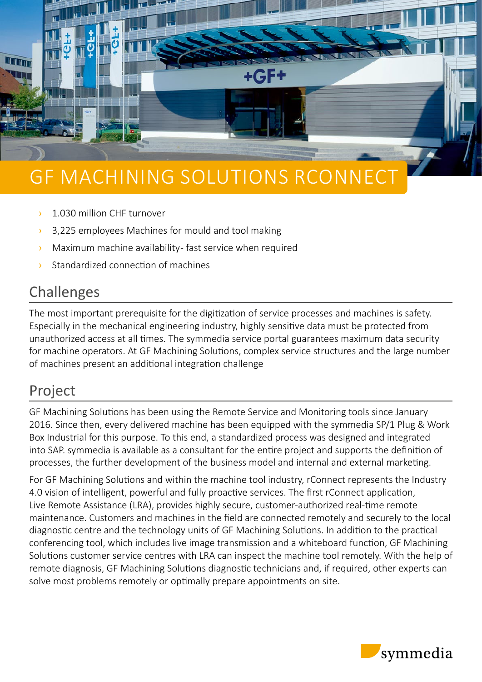

# GF MACHINING SOLUTIONS RCONNECT

- **1.030 million CHF turnover**
- <sup>3</sup> 3,225 employees Machines for mould and tool making
- $\lambda$  Maximum machine availability-fast service when required
- › Standardized connection of machines

# Challenges

The most important prerequisite for the digitization of service processes and machines is safety. Especially in the mechanical engineering industry, highly sensitive data must be protected from unauthorized access at all times. The symmedia service portal guarantees maximum data security for machine operators. At GF Machining Solutions, complex service structures and the large number of machines present an additional integration challenge

## Project

GF Machining Solutions has been using the Remote Service and Monitoring tools since January 2016. Since then, every delivered machine has been equipped with the symmedia SP/1 Plug & Work Box Industrial for this purpose. To this end, a standardized process was designed and integrated into SAP. symmedia is available as a consultant for the entire project and supports the definition of processes, the further development of the business model and internal and external marketing.

For GF Machining Solutions and within the machine tool industry, rConnect represents the Industry 4.0 vision of intelligent, powerful and fully proactive services. The first rConnect application, Live Remote Assistance (LRA), provides highly secure, customer-authorized real-time remote maintenance. Customers and machines in the field are connected remotely and securely to the local diagnostic centre and the technology units of GF Machining Solutions. In addition to the practical conferencing tool, which includes live image transmission and a whiteboard function, GF Machining Solutions customer service centres with LRA can inspect the machine tool remotely. With the help of remote diagnosis, GF Machining Solutions diagnostic technicians and, if required, other experts can solve most problems remotely or optimally prepare appointments on site.